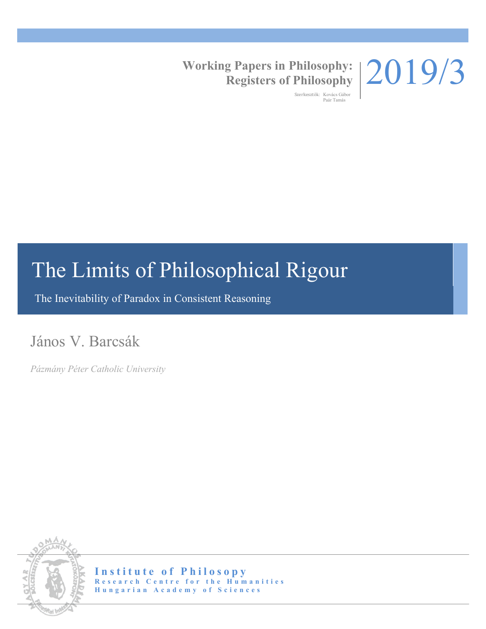# 2019/3

**Working Papers in Philosophy: Registers of Philosophy**

> Szerkesztők: Kovács Gábor Paár Tamás

# The Limits of Philosophical Rigour

The Inevitability of Paradox in Consistent Reasoning

# János V. Barcsák

*Pázmány Péter Catholic University*



**Institute of Philosopy Research Centre for the Humanities Hungarian Academy of Sciences**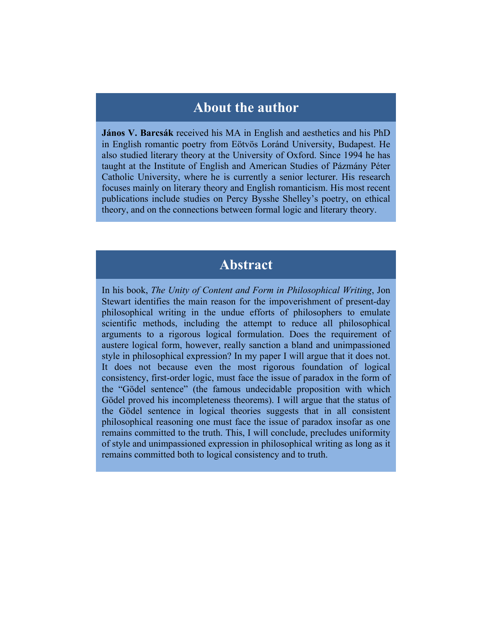## **About the author**

**János V. Barcsák** received his MA in English and aesthetics and his PhD in English romantic poetry from Eötvös Loránd University, Budapest. He also studied literary theory at the University of Oxford. Since 1994 he has taught at the Institute of English and American Studies of Pázmány Péter Catholic University, where he is currently a senior lecturer. His research focuses mainly on literary theory and English romanticism. His most recent publications include studies on Percy Bysshe Shelley's poetry, on ethical theory, and on the connections between formal logic and literary theory.

# **Abstract**

In his book, *The Unity of Content and Form in Philosophical Writing*, Jon Stewart identifies the main reason for the impoverishment of present-day philosophical writing in the undue efforts of philosophers to emulate scientific methods, including the attempt to reduce all philosophical arguments to a rigorous logical formulation. Does the requirement of austere logical form, however, really sanction a bland and unimpassioned style in philosophical expression? In my paper I will argue that it does not. It does not because even the most rigorous foundation of logical consistency, first-order logic, must face the issue of paradox in the form of the "Gödel sentence" (the famous undecidable proposition with which Gödel proved his incompleteness theorems). I will argue that the status of the Gödel sentence in logical theories suggests that in all consistent philosophical reasoning one must face the issue of paradox insofar as one remains committed to the truth. This, I will conclude, precludes uniformity of style and unimpassioned expression in philosophical writing as long as it remains committed both to logical consistency and to truth.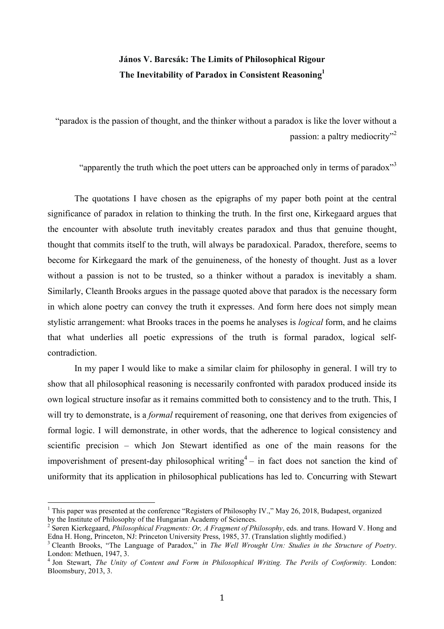### **János V. Barcsák: The Limits of Philosophical Rigour The Inevitability of Paradox in Consistent Reasoning1**

"paradox is the passion of thought, and the thinker without a paradox is like the lover without a passion: a paltry mediocrity<sup>3</sup>

"apparently the truth which the poet utters can be approached only in terms of paradox"<sup>3</sup>

The quotations I have chosen as the epigraphs of my paper both point at the central significance of paradox in relation to thinking the truth. In the first one, Kirkegaard argues that the encounter with absolute truth inevitably creates paradox and thus that genuine thought, thought that commits itself to the truth, will always be paradoxical. Paradox, therefore, seems to become for Kirkegaard the mark of the genuineness, of the honesty of thought. Just as a lover without a passion is not to be trusted, so a thinker without a paradox is inevitably a sham. Similarly, Cleanth Brooks argues in the passage quoted above that paradox is the necessary form in which alone poetry can convey the truth it expresses. And form here does not simply mean stylistic arrangement: what Brooks traces in the poems he analyses is *logical* form, and he claims that what underlies all poetic expressions of the truth is formal paradox, logical selfcontradiction.

In my paper I would like to make a similar claim for philosophy in general. I will try to show that all philosophical reasoning is necessarily confronted with paradox produced inside its own logical structure insofar as it remains committed both to consistency and to the truth. This, I will try to demonstrate, is a *formal* requirement of reasoning, one that derives from exigencies of formal logic. I will demonstrate, in other words, that the adherence to logical consistency and scientific precision – which Jon Stewart identified as one of the main reasons for the impoverishment of present-day philosophical writing<sup>4</sup> – in fact does not sanction the kind of uniformity that its application in philosophical publications has led to. Concurring with Stewart

<sup>&</sup>lt;sup>1</sup> This paper was presented at the conference "Registers of Philosophy IV.," May 26, 2018, Budapest, organized by the Institute of Philosophy of the Hungarian Academy of Sciences.

<sup>2</sup> Søren Kierkegaard, *Philosophical Fragments: Or, A Fragment of Philosophy*, eds. and trans. Howard V. Hong and Edna H. Hong, Princeton, NJ: Princeton University Press, 1985, 37. (Translation slightly modified.)

<sup>3</sup> Cleanth Brooks, "The Language of Paradox," in *The Well Wrought Urn: Studies in the Structure of Poetry*. London: Methuen, 1947, 3.<br><sup>4</sup> Jon Stewart, *The Unity of Content and Form in Philosophical Writing. The Perils of Conformity. London:* 

Bloomsbury, 2013, 3.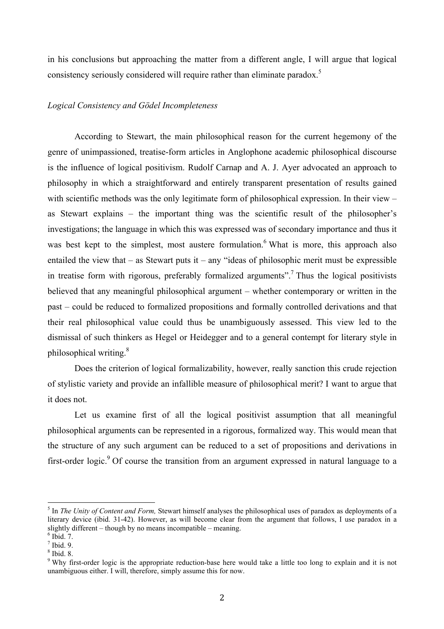in his conclusions but approaching the matter from a different angle, I will argue that logical consistency seriously considered will require rather than eliminate paradox.<sup>5</sup>

#### *Logical Consistency and Gödel Incompleteness*

According to Stewart, the main philosophical reason for the current hegemony of the genre of unimpassioned, treatise-form articles in Anglophone academic philosophical discourse is the influence of logical positivism. Rudolf Carnap and A. J. Ayer advocated an approach to philosophy in which a straightforward and entirely transparent presentation of results gained with scientific methods was the only legitimate form of philosophical expression. In their view – as Stewart explains – the important thing was the scientific result of the philosopher's investigations; the language in which this was expressed was of secondary importance and thus it was best kept to the simplest, most austere formulation. <sup>6</sup> What is more, this approach also entailed the view that  $-$  as Stewart puts it  $-$  any "ideas of philosophic merit must be expressible in treatise form with rigorous, preferably formalized arguments".<sup>7</sup> Thus the logical positivists believed that any meaningful philosophical argument – whether contemporary or written in the past – could be reduced to formalized propositions and formally controlled derivations and that their real philosophical value could thus be unambiguously assessed. This view led to the dismissal of such thinkers as Hegel or Heidegger and to a general contempt for literary style in philosophical writing.8

Does the criterion of logical formalizability, however, really sanction this crude rejection of stylistic variety and provide an infallible measure of philosophical merit? I want to argue that it does not.

Let us examine first of all the logical positivist assumption that all meaningful philosophical arguments can be represented in a rigorous, formalized way. This would mean that the structure of any such argument can be reduced to a set of propositions and derivations in first-order logic.<sup>9</sup> Of course the transition from an argument expressed in natural language to a

 <sup>5</sup> In *The Unity of Content and Form,* Stewart himself analyses the philosophical uses of paradox as deployments of a literary device (ibid. 31-42). However, as will become clear from the argument that follows. I use paradox in a slightly different – though by no means incompatible – meaning.  $\frac{6}{100}$  Ibid. 7.

<sup>7</sup> Ibid. 9.

<sup>8</sup> Ibid. 8.

<sup>&</sup>lt;sup>9</sup> Why first-order logic is the appropriate reduction-base here would take a little too long to explain and it is not unambiguous either. I will, therefore, simply assume this for now.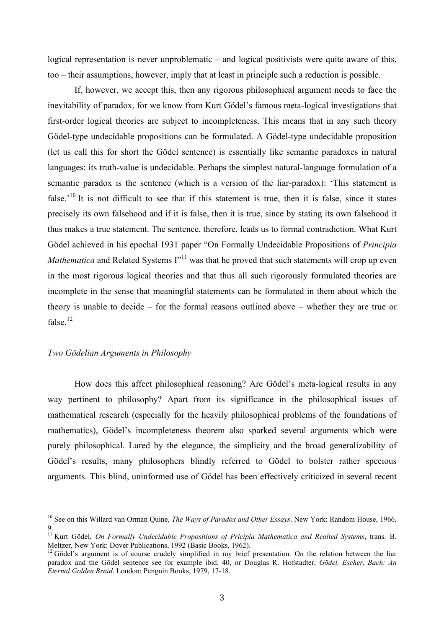logical representation is never unproblematic – and logical positivists were quite aware of this, too – their assumptions, however, imply that at least in principle such a reduction is possible.

If, however, we accept this, then any rigorous philosophical argument needs to face the inevitability of paradox, for we know from Kurt Gödel's famous meta-logical investigations that first-order logical theories are subject to incompleteness. This means that in any such theory Gödel-type undecidable propositions can be formulated. A Gödel-type undecidable proposition (let us call this for short the Gödel sentence) is essentially like semantic paradoxes in natural languages: its truth-value is undecidable. Perhaps the simplest natural-language formulation of a semantic paradox is the sentence (which is a version of the liar-paradox): 'This statement is false.<sup> $10$ </sup> It is not difficult to see that if this statement is true, then it is false, since it states precisely its own falsehood and if it is false, then it is true, since by stating its own falsehood it thus makes a true statement. The sentence, therefore, leads us to formal contradiction. What Kurt Gödel achieved in his epochal 1931 paper "On Formally Undecidable Propositions of *Principia Mathematica* and Related Systems I"<sup>11</sup> was that he proved that such statements will crop up even in the most rigorous logical theories and that thus all such rigorously formulated theories are incomplete in the sense that meaningful statements can be formulated in them about which the theory is unable to decide – for the formal reasons outlined above – whether they are true or false. $12$ 

#### *Two Gödelian Arguments in Philosophy*

 

How does this affect philosophical reasoning? Are Gödel's meta-logical results in any way pertinent to philosophy? Apart from its significance in the philosophical issues of mathematical research (especially for the heavily philosophical problems of the foundations of mathematics), Gödel's incompleteness theorem also sparked several arguments which were purely philosophical. Lured by the elegance, the simplicity and the broad generalizability of Gödel's results, many philosophers blindly referred to Gödel to bolster rather specious arguments. This blind, uninformed use of Gödel has been effectively criticized in several recent

<sup>&</sup>lt;sup>10</sup> See on this Willard van Orman Quine, *The Ways of Paradox and Other Essays*. New York: Random House, 1966, 9.

<sup>11</sup> Kurt Gödel, *On Formally Undecidable Propositions of Pricipia Mathematica and Realted Systems*, trans. B. Meltzer, New York: Dover Publications, 1992 (Basic Books, 1962).<br><sup>12</sup> Gödel's argument is of course crudely simplified in my brief presentation. On the relation between the liar

paradox and the Gödel sentence see for example ibid. 40, or Douglas R. Hofstadter, *Gödel, Escher, Bach: An Eternal Golden Braid*. London: Penguin Books, 1979, 17-18.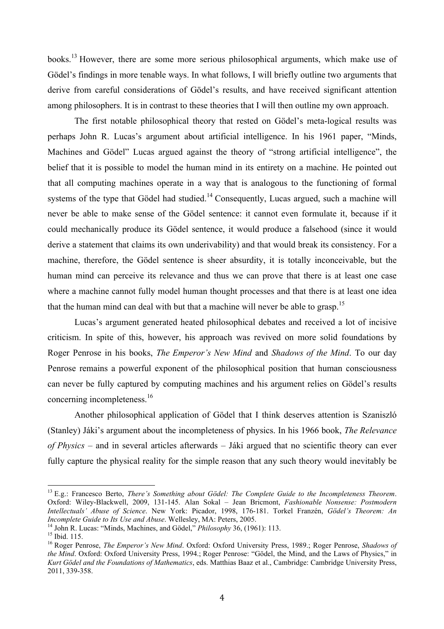books.13 However, there are some more serious philosophical arguments, which make use of Gödel's findings in more tenable ways. In what follows, I will briefly outline two arguments that derive from careful considerations of Gödel's results, and have received significant attention among philosophers. It is in contrast to these theories that I will then outline my own approach.

The first notable philosophical theory that rested on Gödel's meta-logical results was perhaps John R. Lucas's argument about artificial intelligence. In his 1961 paper, "Minds, Machines and Gödel" Lucas argued against the theory of "strong artificial intelligence", the belief that it is possible to model the human mind in its entirety on a machine. He pointed out that all computing machines operate in a way that is analogous to the functioning of formal systems of the type that Gödel had studied.<sup>14</sup> Consequently, Lucas argued, such a machine will never be able to make sense of the Gödel sentence: it cannot even formulate it, because if it could mechanically produce its Gödel sentence, it would produce a falsehood (since it would derive a statement that claims its own underivability) and that would break its consistency. For a machine, therefore, the Gödel sentence is sheer absurdity, it is totally inconceivable, but the human mind can perceive its relevance and thus we can prove that there is at least one case where a machine cannot fully model human thought processes and that there is at least one idea that the human mind can deal with but that a machine will never be able to grasp.<sup>15</sup>

Lucas's argument generated heated philosophical debates and received a lot of incisive criticism. In spite of this, however, his approach was revived on more solid foundations by Roger Penrose in his books, *The Emperor's New Mind* and *Shadows of the Mind*. To our day Penrose remains a powerful exponent of the philosophical position that human consciousness can never be fully captured by computing machines and his argument relies on Gödel's results concerning incompleteness. 16

Another philosophical application of Gödel that I think deserves attention is Szaniszló (Stanley) Jáki's argument about the incompleteness of physics. In his 1966 book, *The Relevance of Physics* – and in several articles afterwards – Jáki argued that no scientific theory can ever fully capture the physical reality for the simple reason that any such theory would inevitably be

 

<sup>13</sup> E.g.: Francesco Berto, *There's Something about Gödel: The Complete Guide to the Incompleteness Theorem*. Oxford: Wiley-Blackwell, 2009, 131-145. Alan Sokal – Jean Bricmont, *Fashionable Nonsense: Postmodern Intellectuals' Abuse of Science*. New York: Picador, 1998, 176-181. Torkel Franzén, *Gödel's Theorem: An* 

<sup>&</sup>lt;sup>14</sup> John R. Lucas: "Minds, Machines, and Gödel," *Philosophy* 36, (1961): 113.<br><sup>15</sup> Ibid. 115.<br><sup>16</sup> Roger Penrose. *The Emperor's New Mind*. Oxford: Oxford University Press, 1989.; Roger Penrose, *Shadows of the Mind*. Oxford: Oxford University Press, 1994.; Roger Penrose: "Gödel, the Mind, and the Laws of Physics," in *Kurt Gödel and the Foundations of Mathematics*, eds. Matthias Baaz et al., Cambridge: Cambridge University Press, 2011, 339-358.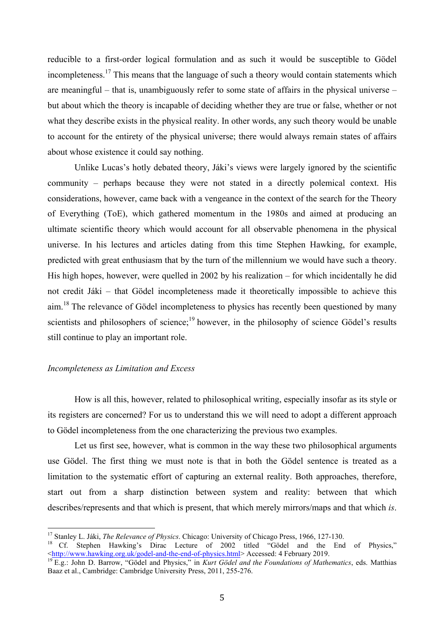reducible to a first-order logical formulation and as such it would be susceptible to Gödel incompleteness.<sup>17</sup> This means that the language of such a theory would contain statements which are meaningful – that is, unambiguously refer to some state of affairs in the physical universe – but about which the theory is incapable of deciding whether they are true or false, whether or not what they describe exists in the physical reality. In other words, any such theory would be unable to account for the entirety of the physical universe; there would always remain states of affairs about whose existence it could say nothing.

Unlike Lucas's hotly debated theory, Jáki's views were largely ignored by the scientific community – perhaps because they were not stated in a directly polemical context. His considerations, however, came back with a vengeance in the context of the search for the Theory of Everything (ToE), which gathered momentum in the 1980s and aimed at producing an ultimate scientific theory which would account for all observable phenomena in the physical universe. In his lectures and articles dating from this time Stephen Hawking, for example, predicted with great enthusiasm that by the turn of the millennium we would have such a theory. His high hopes, however, were quelled in 2002 by his realization – for which incidentally he did not credit Jáki – that Gödel incompleteness made it theoretically impossible to achieve this aim.<sup>18</sup> The relevance of Gödel incompleteness to physics has recently been questioned by many scientists and philosophers of science;<sup>19</sup> however, in the philosophy of science Gödel's results still continue to play an important role.

#### *Incompleteness as Limitation and Excess*

How is all this, however, related to philosophical writing, especially insofar as its style or its registers are concerned? For us to understand this we will need to adopt a different approach to Gödel incompleteness from the one characterizing the previous two examples.

Let us first see, however, what is common in the way these two philosophical arguments use Gödel. The first thing we must note is that in both the Gödel sentence is treated as a limitation to the systematic effort of capturing an external reality. Both approaches, therefore, start out from a sharp distinction between system and reality: between that which describes/represents and that which is present, that which merely mirrors/maps and that which *is*.

<sup>&</sup>lt;sup>17</sup> Stanley L. Jáki, *The Relevance of Physics*. Chicago: University of Chicago Press, 1966, 127-130.<br><sup>18</sup> Cf. Stephen Hawking's Dirac Lecture of 2002 titled "Gödel and the End of Physics,"<br>

<sup>&</sup>lt;sup>19</sup> E.g.: John D. Barrow, "Gödel and Physics," in *Kurt Gödel and the Foundations of Mathematics*, eds. Matthias Baaz et al., Cambridge: Cambridge University Press, 2011, 255-276.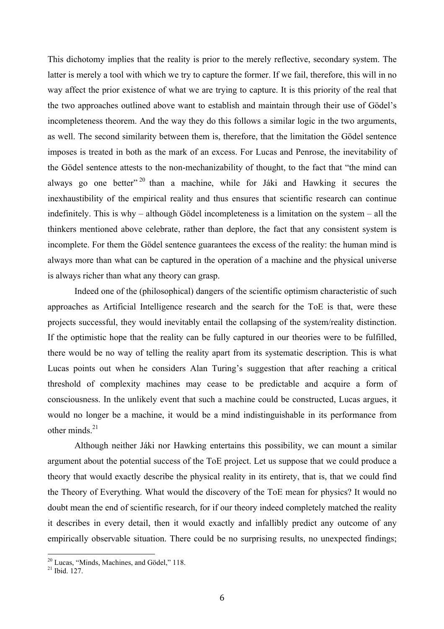This dichotomy implies that the reality is prior to the merely reflective, secondary system. The latter is merely a tool with which we try to capture the former. If we fail, therefore, this will in no way affect the prior existence of what we are trying to capture. It is this priority of the real that the two approaches outlined above want to establish and maintain through their use of Gödel's incompleteness theorem. And the way they do this follows a similar logic in the two arguments, as well. The second similarity between them is, therefore, that the limitation the Gödel sentence imposes is treated in both as the mark of an excess. For Lucas and Penrose, the inevitability of the Gödel sentence attests to the non-mechanizability of thought, to the fact that "the mind can always go one better"  $20$  than a machine, while for Jáki and Hawking it secures the inexhaustibility of the empirical reality and thus ensures that scientific research can continue indefinitely. This is why – although Gödel incompleteness is a limitation on the system – all the thinkers mentioned above celebrate, rather than deplore, the fact that any consistent system is incomplete. For them the Gödel sentence guarantees the excess of the reality: the human mind is always more than what can be captured in the operation of a machine and the physical universe is always richer than what any theory can grasp.

Indeed one of the (philosophical) dangers of the scientific optimism characteristic of such approaches as Artificial Intelligence research and the search for the ToE is that, were these projects successful, they would inevitably entail the collapsing of the system/reality distinction. If the optimistic hope that the reality can be fully captured in our theories were to be fulfilled, there would be no way of telling the reality apart from its systematic description. This is what Lucas points out when he considers Alan Turing's suggestion that after reaching a critical threshold of complexity machines may cease to be predictable and acquire a form of consciousness. In the unlikely event that such a machine could be constructed, Lucas argues, it would no longer be a machine, it would be a mind indistinguishable in its performance from other minds $^{21}$ 

Although neither Jáki nor Hawking entertains this possibility, we can mount a similar argument about the potential success of the ToE project. Let us suppose that we could produce a theory that would exactly describe the physical reality in its entirety, that is, that we could find the Theory of Everything. What would the discovery of the ToE mean for physics? It would no doubt mean the end of scientific research, for if our theory indeed completely matched the reality it describes in every detail, then it would exactly and infallibly predict any outcome of any empirically observable situation. There could be no surprising results, no unexpected findings;

 $20$  Lucas, "Minds, Machines, and Gödel," 118.<br><sup>21</sup> Ibid. 127.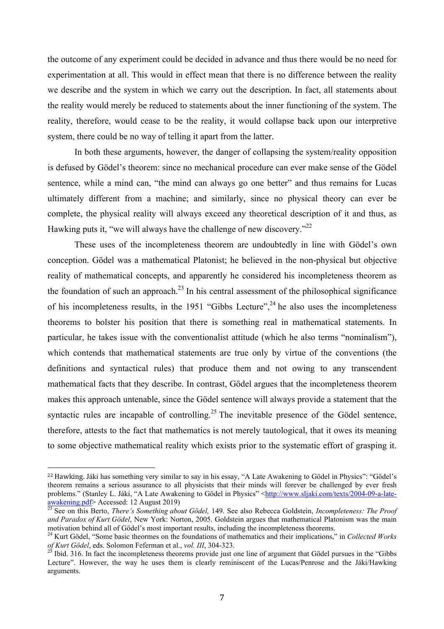the outcome of any experiment could be decided in advance and thus there would be no need for experimentation at all. This would in effect mean that there is no difference between the reality we describe and the system in which we carry out the description. In fact, all statements about the reality would merely be reduced to statements about the inner functioning of the system. The reality, therefore, would cease to be the reality, it would collapse back upon our interpretive system, there could be no way of telling it apart from the latter.

In both these arguments, however, the danger of collapsing the system/reality opposition is defused by Gödel's theorem: since no mechanical procedure can ever make sense of the Gödel sentence, while a mind can, "the mind can always go one better" and thus remains for Lucas ultimately different from a machine; and similarly, since no physical theory can ever be complete, the physical reality will always exceed any theoretical description of it and thus, as Hawking puts it, "we will always have the challenge of new discovery."<sup>22</sup>

These uses of the incompleteness theorem are undoubtedly in line with Gödel's own conception. Gödel was a mathematical Platonist; he believed in the non-physical but objective reality of mathematical concepts, and apparently he considered his incompleteness theorem as the foundation of such an approach.<sup>23</sup> In his central assessment of the philosophical significance of his incompleteness results, in the 1951 "Gibbs Lecture",<sup>24</sup> he also uses the incompleteness theorems to bolster his position that there is something real in mathematical statements. In particular, he takes issue with the conventionalist attitude (which he also terms "nominalism"), which contends that mathematical statements are true only by virtue of the conventions (the definitions and syntactical rules) that produce them and not owing to any transcendent mathematical facts that they describe. In contrast, Gödel argues that the incompleteness theorem makes this approach untenable, since the Gödel sentence will always provide a statement that the syntactic rules are incapable of controlling.<sup>25</sup> The inevitable presence of the Gödel sentence, therefore, attests to the fact that mathematics is not merely tautological, that it owes its meaning to some objective mathematical reality which exists prior to the systematic effort of grasping it.

 

<sup>&</sup>lt;sup>22</sup> Hawking. Jáki has something very similar to say in his essay, "A Late Awakening to Gödel in Physics": "Gödel's theorem remains a serious assurance to all physicists that their minds will forever be challenged by ever fresh problems." (Stanley L. Jáki, "A Late Awakening to Gödel in Physics" <http://www.sljaki.com/texts/2004-09-a-late-awakening.pdf> Accessed: 12 August 2019)

<sup>&</sup>lt;sup>23</sup> See on this Berto, *There's Something about Gödel*, 149. See also Rebecca Goldstein, *Incompleteness: The Proof and Paradox of Kurt Gödel*, New York: Norton, 2005. Goldstein argues that mathematical Platonism was the main

<sup>&</sup>lt;sup>24</sup> Kurt Gödel, "Some basic theormes on the foundations of mathematics and their implications," in *Collected Works* of Kurt Gödel, eds. Solomon Feferman et al., *vol. III*, 304-323.

*Ibid.* 316. In fact the incompleteness theorems provide just one line of argument that Gödel pursues in the "Gibbs" Lecture". However, the way he uses them is clearly reminiscent of the Lucas/Penrose and the Jáki/Hawking arguments.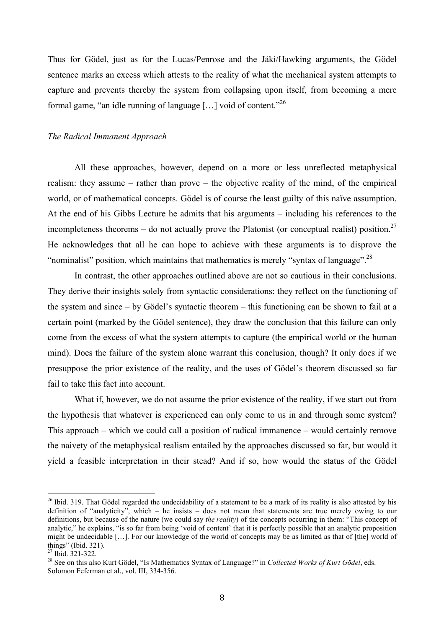Thus for Gödel, just as for the Lucas/Penrose and the Jáki/Hawking arguments, the Gödel sentence marks an excess which attests to the reality of what the mechanical system attempts to capture and prevents thereby the system from collapsing upon itself, from becoming a mere formal game, "an idle running of language [...] void of content."<sup>26</sup>

#### *The Radical Immanent Approach*

All these approaches, however, depend on a more or less unreflected metaphysical realism: they assume – rather than prove – the objective reality of the mind, of the empirical world, or of mathematical concepts. Gödel is of course the least guilty of this naïve assumption. At the end of his Gibbs Lecture he admits that his arguments – including his references to the incompleteness theorems  $-$  do not actually prove the Platonist (or conceptual realist) position.<sup>27</sup> He acknowledges that all he can hope to achieve with these arguments is to disprove the "nominalist" position, which maintains that mathematics is merely "syntax of language".<sup>28</sup>

In contrast, the other approaches outlined above are not so cautious in their conclusions. They derive their insights solely from syntactic considerations: they reflect on the functioning of the system and since – by Gödel's syntactic theorem – this functioning can be shown to fail at a certain point (marked by the Gödel sentence), they draw the conclusion that this failure can only come from the excess of what the system attempts to capture (the empirical world or the human mind). Does the failure of the system alone warrant this conclusion, though? It only does if we presuppose the prior existence of the reality, and the uses of Gödel's theorem discussed so far fail to take this fact into account.

What if, however, we do not assume the prior existence of the reality, if we start out from the hypothesis that whatever is experienced can only come to us in and through some system? This approach – which we could call a position of radical immanence – would certainly remove the naivety of the metaphysical realism entailed by the approaches discussed so far, but would it yield a feasible interpretation in their stead? And if so, how would the status of the Gödel

 $26$  Ibid. 319. That Gödel regarded the undecidability of a statement to be a mark of its reality is also attested by his definition of "analyticity", which – he insists – does not mean that statements are true merely owing to our definitions, but because of the nature (we could say *the reality*) of the concepts occurring in them: "This concept of analytic," he explains, "is so far from being 'void of content' that it is perfectly possible that an analytic proposition might be undecidable […]. For our knowledge of the world of concepts may be as limited as that of [the] world of things" (Ibid. 321).<br> $^{27}$  Ibid. 321-322.

<sup>&</sup>lt;sup>28</sup> See on this also Kurt Gödel, "Is Mathematics Syntax of Language?" in *Collected Works of Kurt Gödel*, eds. Solomon Feferman et al., vol. III, 334-356.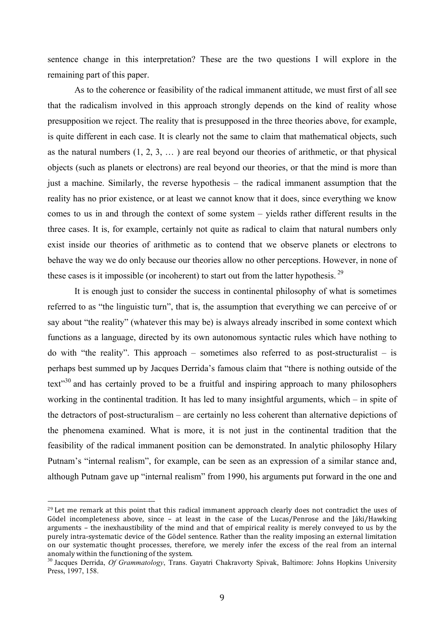sentence change in this interpretation? These are the two questions I will explore in the remaining part of this paper.

As to the coherence or feasibility of the radical immanent attitude, we must first of all see that the radicalism involved in this approach strongly depends on the kind of reality whose presupposition we reject. The reality that is presupposed in the three theories above, for example, is quite different in each case. It is clearly not the same to claim that mathematical objects, such as the natural numbers  $(1, 2, 3, ...)$  are real beyond our theories of arithmetic, or that physical objects (such as planets or electrons) are real beyond our theories, or that the mind is more than just a machine. Similarly, the reverse hypothesis – the radical immanent assumption that the reality has no prior existence, or at least we cannot know that it does, since everything we know comes to us in and through the context of some system – yields rather different results in the three cases. It is, for example, certainly not quite as radical to claim that natural numbers only exist inside our theories of arithmetic as to contend that we observe planets or electrons to behave the way we do only because our theories allow no other perceptions. However, in none of these cases is it impossible (or incoherent) to start out from the latter hypothesis.<sup>29</sup>

It is enough just to consider the success in continental philosophy of what is sometimes referred to as "the linguistic turn", that is, the assumption that everything we can perceive of or say about "the reality" (whatever this may be) is always already inscribed in some context which functions as a language, directed by its own autonomous syntactic rules which have nothing to do with "the reality". This approach – sometimes also referred to as post-structuralist – is perhaps best summed up by Jacques Derrida's famous claim that "there is nothing outside of the text $1^{30}$  and has certainly proved to be a fruitful and inspiring approach to many philosophers working in the continental tradition. It has led to many insightful arguments, which – in spite of the detractors of post-structuralism – are certainly no less coherent than alternative depictions of the phenomena examined. What is more, it is not just in the continental tradition that the feasibility of the radical immanent position can be demonstrated. In analytic philosophy Hilary Putnam's "internal realism", for example, can be seen as an expression of a similar stance and, although Putnam gave up "internal realism" from 1990, his arguments put forward in the one and

 

 $^{29}$  Let me remark at this point that this radical immanent approach clearly does not contradict the uses of Gödel incompleteness above, since  $-$  at least in the case of the Lucas/Penrose and the Jáki/Hawking arguments – the inexhaustibility of the mind and that of empirical reality is merely conveyed to us by the purely intra-systematic device of the Gödel sentence. Rather than the reality imposing an external limitation on our systematic thought processes, therefore, we merely infer the excess of the real from an internal anomaly within the functioning of the system.

<sup>30</sup> Jacques Derrida, *Of Grammatology*, Trans. Gayatri Chakravorty Spivak, Baltimore: Johns Hopkins University Press, 1997, 158.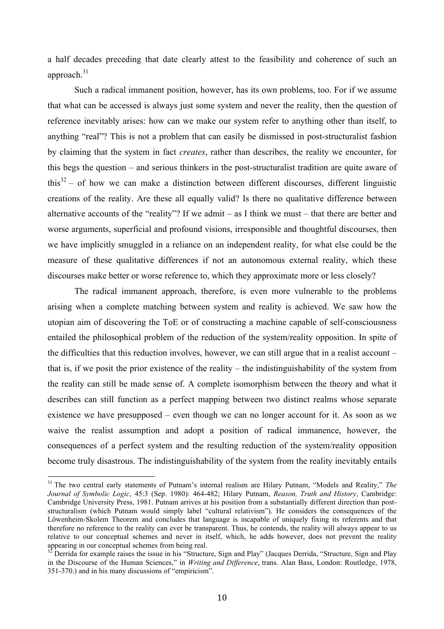a half decades preceding that date clearly attest to the feasibility and coherence of such an approach. 31

Such a radical immanent position, however, has its own problems, too. For if we assume that what can be accessed is always just some system and never the reality, then the question of reference inevitably arises: how can we make our system refer to anything other than itself, to anything "real"? This is not a problem that can easily be dismissed in post-structuralist fashion by claiming that the system in fact *creates*, rather than describes, the reality we encounter, for this begs the question – and serious thinkers in the post-structuralist tradition are quite aware of this<sup>32</sup> – of how we can make a distinction between different discourses, different linguistic creations of the reality. Are these all equally valid? Is there no qualitative difference between alternative accounts of the "reality"? If we admit  $-$  as I think we must  $-$  that there are better and worse arguments, superficial and profound visions, irresponsible and thoughtful discourses, then we have implicitly smuggled in a reliance on an independent reality, for what else could be the measure of these qualitative differences if not an autonomous external reality, which these discourses make better or worse reference to, which they approximate more or less closely?

The radical immanent approach, therefore, is even more vulnerable to the problems arising when a complete matching between system and reality is achieved. We saw how the utopian aim of discovering the ToE or of constructing a machine capable of self-consciousness entailed the philosophical problem of the reduction of the system/reality opposition. In spite of the difficulties that this reduction involves, however, we can still argue that in a realist account – that is, if we posit the prior existence of the reality – the indistinguishability of the system from the reality can still be made sense of. A complete isomorphism between the theory and what it describes can still function as a perfect mapping between two distinct realms whose separate existence we have presupposed – even though we can no longer account for it. As soon as we waive the realist assumption and adopt a position of radical immanence, however, the consequences of a perfect system and the resulting reduction of the system/reality opposition become truly disastrous. The indistinguishability of the system from the reality inevitably entails

 31 The two central early statements of Putnam's internal realism are Hilary Putnam, "Models and Reality," *The Journal of Symbolic Logic*, 45:3 (Sep. 1980): 464-482; Hilary Putnam, *Reason, Truth and History*, Cambridge: Cambridge University Press, 1981. Putnam arrives at his position from a substantially different direction than poststructuralism (which Putnam would simply label "cultural relativism"). He considers the consequences of the Löwenheim-Skolem Theorem and concludes that language is incapable of uniquely fixing its referents and that therefore no reference to the reality can ever be transparent. Thus, he contends, the reality will always appear to us relative to our conceptual schemes and never in itself, which, he adds however, does not prevent the reality appearing in our conceptual schemes from being real.

Derrida for example raises the issue in his "Structure, Sign and Play" (Jacques Derrida, "Structure, Sign and Play in the Discourse of the Human Sciences," in *Writing and Difference*, trans. Alan Bass, London: Routledge, 1978, 351-370.) and in his many discussions of "empiricism".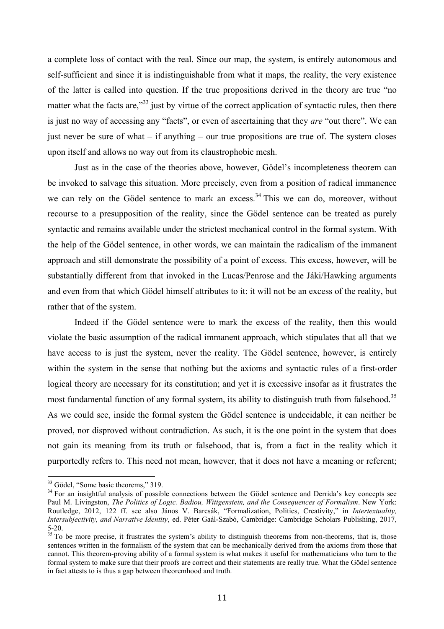a complete loss of contact with the real. Since our map, the system, is entirely autonomous and self-sufficient and since it is indistinguishable from what it maps, the reality, the very existence of the latter is called into question. If the true propositions derived in the theory are true "no matter what the facts are,"<sup>33</sup> just by virtue of the correct application of syntactic rules, then there is just no way of accessing any "facts", or even of ascertaining that they *are* "out there". We can just never be sure of what – if anything – our true propositions are true of. The system closes upon itself and allows no way out from its claustrophobic mesh.

Just as in the case of the theories above, however, Gödel's incompleteness theorem can be invoked to salvage this situation. More precisely, even from a position of radical immanence we can rely on the Gödel sentence to mark an excess.<sup>34</sup> This we can do, moreover, without recourse to a presupposition of the reality, since the Gödel sentence can be treated as purely syntactic and remains available under the strictest mechanical control in the formal system. With the help of the Gödel sentence, in other words, we can maintain the radicalism of the immanent approach and still demonstrate the possibility of a point of excess. This excess, however, will be substantially different from that invoked in the Lucas/Penrose and the Jáki/Hawking arguments and even from that which Gödel himself attributes to it: it will not be an excess of the reality, but rather that of the system.

Indeed if the Gödel sentence were to mark the excess of the reality, then this would violate the basic assumption of the radical immanent approach, which stipulates that all that we have access to is just the system, never the reality. The Gödel sentence, however, is entirely within the system in the sense that nothing but the axioms and syntactic rules of a first-order logical theory are necessary for its constitution; and yet it is excessive insofar as it frustrates the most fundamental function of any formal system, its ability to distinguish truth from falsehood.<sup>35</sup> As we could see, inside the formal system the Gödel sentence is undecidable, it can neither be proved, nor disproved without contradiction. As such, it is the one point in the system that does not gain its meaning from its truth or falsehood, that is, from a fact in the reality which it purportedly refers to. This need not mean, however, that it does not have a meaning or referent;

 $33$  Gödel, "Some basic theorems," 319.<br> $34$  For an insightful analysis of possible connections between the Gödel sentence and Derrida's key concepts see Paul M. Livingston, *The Politics of Logic. Badiou, Wittgenstein, and the Consequences of Formalism*. New York: Routledge, 2012, 122 ff. see also János V. Barcsák, "Formalization, Politics, Creativity," in *Intertextuality, Intersubjectivity, and Narrative Identity*, ed. Péter Gaál-Szabó, Cambridge: Cambridge Scholars Publishing, 2017, 5-20.<br><sup>35</sup> To be more precise, it frustrates the system's ability to distinguish theorems from non-theorems, that is, those

sentences written in the formalism of the system that can be mechanically derived from the axioms from those that cannot. This theorem-proving ability of a formal system is what makes it useful for mathematicians who turn to the formal system to make sure that their proofs are correct and their statements are really true. What the Gödel sentence in fact attests to is thus a gap between theoremhood and truth.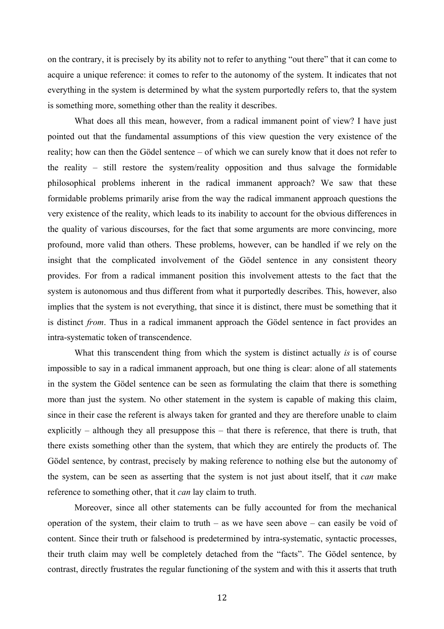on the contrary, it is precisely by its ability not to refer to anything "out there" that it can come to acquire a unique reference: it comes to refer to the autonomy of the system. It indicates that not everything in the system is determined by what the system purportedly refers to, that the system is something more, something other than the reality it describes.

What does all this mean, however, from a radical immanent point of view? I have just pointed out that the fundamental assumptions of this view question the very existence of the reality; how can then the Gödel sentence – of which we can surely know that it does not refer to the reality – still restore the system/reality opposition and thus salvage the formidable philosophical problems inherent in the radical immanent approach? We saw that these formidable problems primarily arise from the way the radical immanent approach questions the very existence of the reality, which leads to its inability to account for the obvious differences in the quality of various discourses, for the fact that some arguments are more convincing, more profound, more valid than others. These problems, however, can be handled if we rely on the insight that the complicated involvement of the Gödel sentence in any consistent theory provides. For from a radical immanent position this involvement attests to the fact that the system is autonomous and thus different from what it purportedly describes. This, however, also implies that the system is not everything, that since it is distinct, there must be something that it is distinct *from*. Thus in a radical immanent approach the Gödel sentence in fact provides an intra-systematic token of transcendence.

What this transcendent thing from which the system is distinct actually *is* is of course impossible to say in a radical immanent approach, but one thing is clear: alone of all statements in the system the Gödel sentence can be seen as formulating the claim that there is something more than just the system. No other statement in the system is capable of making this claim, since in their case the referent is always taken for granted and they are therefore unable to claim explicitly – although they all presuppose this – that there is reference, that there is truth, that there exists something other than the system, that which they are entirely the products of. The Gödel sentence, by contrast, precisely by making reference to nothing else but the autonomy of the system, can be seen as asserting that the system is not just about itself, that it *can* make reference to something other, that it *can* lay claim to truth.

Moreover, since all other statements can be fully accounted for from the mechanical operation of the system, their claim to truth – as we have seen above – can easily be void of content. Since their truth or falsehood is predetermined by intra-systematic, syntactic processes, their truth claim may well be completely detached from the "facts". The Gödel sentence, by contrast, directly frustrates the regular functioning of the system and with this it asserts that truth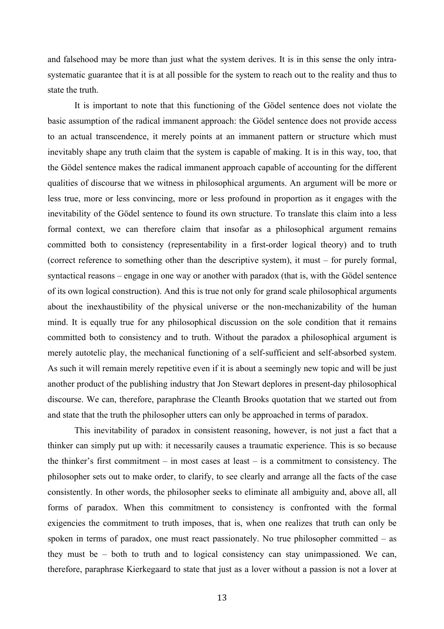and falsehood may be more than just what the system derives. It is in this sense the only intrasystematic guarantee that it is at all possible for the system to reach out to the reality and thus to state the truth.

It is important to note that this functioning of the Gödel sentence does not violate the basic assumption of the radical immanent approach: the Gödel sentence does not provide access to an actual transcendence, it merely points at an immanent pattern or structure which must inevitably shape any truth claim that the system is capable of making. It is in this way, too, that the Gödel sentence makes the radical immanent approach capable of accounting for the different qualities of discourse that we witness in philosophical arguments. An argument will be more or less true, more or less convincing, more or less profound in proportion as it engages with the inevitability of the Gödel sentence to found its own structure. To translate this claim into a less formal context, we can therefore claim that insofar as a philosophical argument remains committed both to consistency (representability in a first-order logical theory) and to truth (correct reference to something other than the descriptive system), it must – for purely formal, syntactical reasons – engage in one way or another with paradox (that is, with the Gödel sentence of its own logical construction). And this is true not only for grand scale philosophical arguments about the inexhaustibility of the physical universe or the non-mechanizability of the human mind. It is equally true for any philosophical discussion on the sole condition that it remains committed both to consistency and to truth. Without the paradox a philosophical argument is merely autotelic play, the mechanical functioning of a self-sufficient and self-absorbed system. As such it will remain merely repetitive even if it is about a seemingly new topic and will be just another product of the publishing industry that Jon Stewart deplores in present-day philosophical discourse. We can, therefore, paraphrase the Cleanth Brooks quotation that we started out from and state that the truth the philosopher utters can only be approached in terms of paradox.

This inevitability of paradox in consistent reasoning, however, is not just a fact that a thinker can simply put up with: it necessarily causes a traumatic experience. This is so because the thinker's first commitment – in most cases at least – is a commitment to consistency. The philosopher sets out to make order, to clarify, to see clearly and arrange all the facts of the case consistently. In other words, the philosopher seeks to eliminate all ambiguity and, above all, all forms of paradox. When this commitment to consistency is confronted with the formal exigencies the commitment to truth imposes, that is, when one realizes that truth can only be spoken in terms of paradox, one must react passionately. No true philosopher committed – as they must be – both to truth and to logical consistency can stay unimpassioned. We can, therefore, paraphrase Kierkegaard to state that just as a lover without a passion is not a lover at